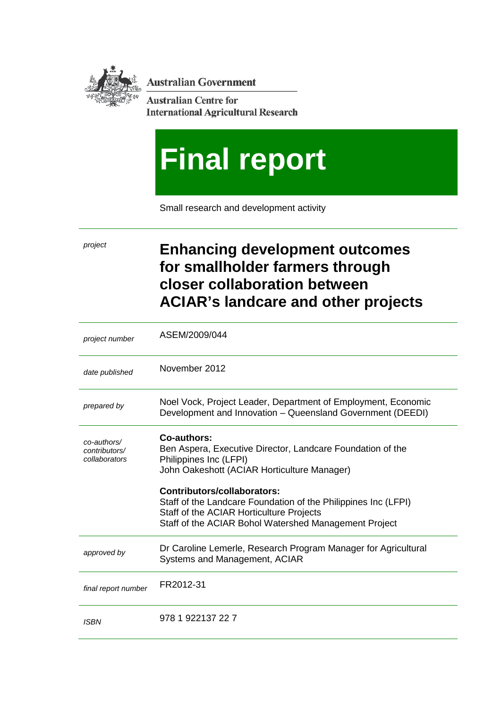

**Australian Government** 

**Australian Centre for International Agricultural Research** 

# **Final report**

Small research and development activity

# *project* **Enhancing development outcomes for smallholder farmers through closer collaboration between ACIAR's landcare and other projects**

| project number                                | ASEM/2009/044                                                                                                                                                                                      |
|-----------------------------------------------|----------------------------------------------------------------------------------------------------------------------------------------------------------------------------------------------------|
| date published                                | November 2012                                                                                                                                                                                      |
| prepared by                                   | Noel Vock, Project Leader, Department of Employment, Economic<br>Development and Innovation - Queensland Government (DEEDI)                                                                        |
| co-authors/<br>contributors/<br>collaborators | Co-authors:<br>Ben Aspera, Executive Director, Landcare Foundation of the<br>Philippines Inc (LFPI)<br>John Oakeshott (ACIAR Horticulture Manager)                                                 |
|                                               | Contributors/collaborators:<br>Staff of the Landcare Foundation of the Philippines Inc (LFPI)<br>Staff of the ACIAR Horticulture Projects<br>Staff of the ACIAR Bohol Watershed Management Project |
| approved by                                   | Dr Caroline Lemerle, Research Program Manager for Agricultural<br>Systems and Management, ACIAR                                                                                                    |
| final report number                           | FR2012-31                                                                                                                                                                                          |
| <b>ISBN</b>                                   | 978 1 922137 22 7                                                                                                                                                                                  |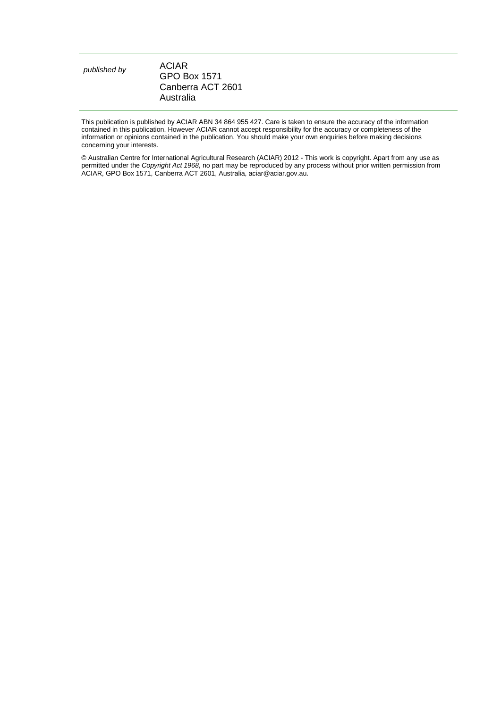| published by | ACIAR               |
|--------------|---------------------|
|              | <b>GPO Box 1571</b> |
|              | Canberra ACT 2601   |
|              | Australia           |

This publication is published by ACIAR ABN 34 864 955 427. Care is taken to ensure the accuracy of the information contained in this publication. However ACIAR cannot accept responsibility for the accuracy or completeness of the information or opinions contained in the publication. You should make your own enquiries before making decisions concerning your interests.

© Australian Centre for International Agricultural Research (ACIAR) 2012 - This work is copyright. Apart from any use as permitted under the *Copyright Act 1968*, no part may be reproduced by any process without prior written permission from ACIAR, GPO Box 1571, Canberra ACT 2601, Australia, aciar@aciar.gov.au.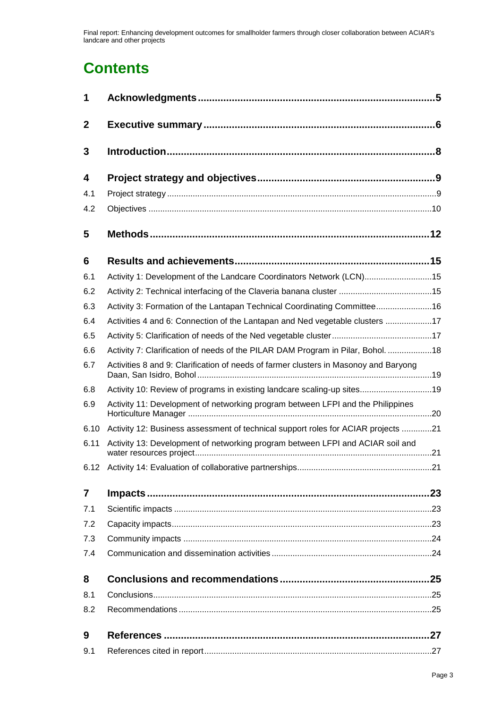# **Contents**

| 1                |                                                                                      |  |  |
|------------------|--------------------------------------------------------------------------------------|--|--|
| $\mathbf{2}$     |                                                                                      |  |  |
| 3                |                                                                                      |  |  |
| $\boldsymbol{4}$ |                                                                                      |  |  |
| 4.1              |                                                                                      |  |  |
| 4.2              |                                                                                      |  |  |
| 5                |                                                                                      |  |  |
| 6                |                                                                                      |  |  |
| 6.1              | Activity 1: Development of the Landcare Coordinators Network (LCN)15                 |  |  |
| 6.2              |                                                                                      |  |  |
| 6.3              | Activity 3: Formation of the Lantapan Technical Coordinating Committee16             |  |  |
| 6.4              | Activities 4 and 6: Connection of the Lantapan and Ned vegetable clusters 17         |  |  |
| 6.5              |                                                                                      |  |  |
| 6.6              | Activity 7: Clarification of needs of the PILAR DAM Program in Pilar, Bohol. 18      |  |  |
| 6.7              | Activities 8 and 9: Clarification of needs of farmer clusters in Masonoy and Baryong |  |  |
| 6.8              | Activity 10: Review of programs in existing landcare scaling-up sites19              |  |  |
| 6.9              | Activity 11: Development of networking program between LFPI and the Philippines      |  |  |
| 6.10             | Activity 12: Business assessment of technical support roles for ACIAR projects 21    |  |  |
| 6.11             | Activity 13: Development of networking program between LFPI and ACIAR soil and       |  |  |
|                  |                                                                                      |  |  |
| $\overline{7}$   |                                                                                      |  |  |
| 7.1              |                                                                                      |  |  |
| 7.2              |                                                                                      |  |  |
| 7.3              |                                                                                      |  |  |
| 7.4              |                                                                                      |  |  |
| 8                |                                                                                      |  |  |
| 8.1              |                                                                                      |  |  |
| 8.2              |                                                                                      |  |  |
| 9                |                                                                                      |  |  |
| 9.1              |                                                                                      |  |  |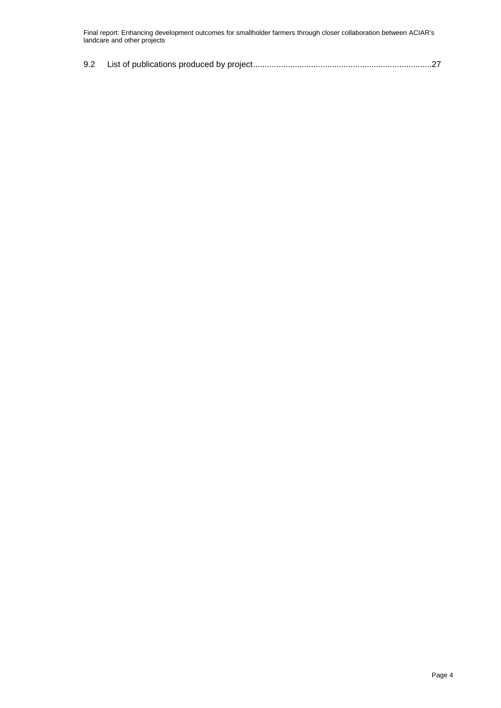|--|--|--|--|--|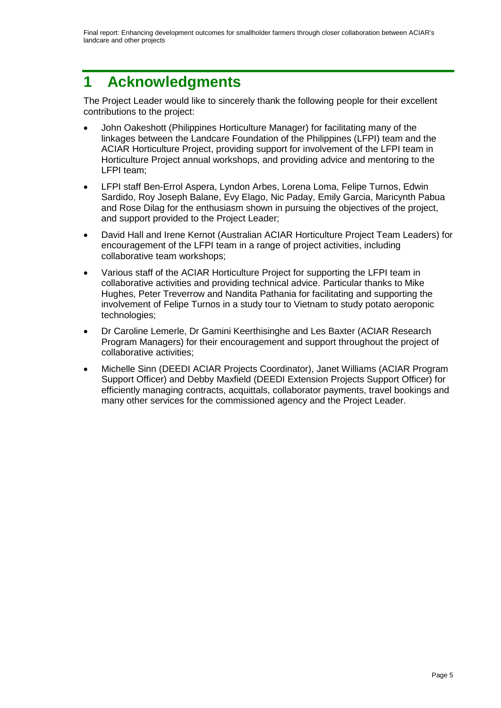# <span id="page-4-0"></span>**1 Acknowledgments**

The Project Leader would like to sincerely thank the following people for their excellent contributions to the project:

- John Oakeshott (Philippines Horticulture Manager) for facilitating many of the linkages between the Landcare Foundation of the Philippines (LFPI) team and the ACIAR Horticulture Project, providing support for involvement of the LFPI team in Horticulture Project annual workshops, and providing advice and mentoring to the LFPI team;
- LFPI staff Ben-Errol Aspera, Lyndon Arbes, Lorena Loma, Felipe Turnos, Edwin Sardido, Roy Joseph Balane, Evy Elago, Nic Paday, Emily Garcia, Maricynth Pabua and Rose Dilag for the enthusiasm shown in pursuing the objectives of the project, and support provided to the Project Leader;
- David Hall and Irene Kernot (Australian ACIAR Horticulture Project Team Leaders) for encouragement of the LFPI team in a range of project activities, including collaborative team workshops;
- Various staff of the ACIAR Horticulture Project for supporting the LFPI team in collaborative activities and providing technical advice. Particular thanks to Mike Hughes, Peter Treverrow and Nandita Pathania for facilitating and supporting the involvement of Felipe Turnos in a study tour to Vietnam to study potato aeroponic technologies;
- Dr Caroline Lemerle, Dr Gamini Keerthisinghe and Les Baxter (ACIAR Research Program Managers) for their encouragement and support throughout the project of collaborative activities;
- Michelle Sinn (DEEDI ACIAR Projects Coordinator), Janet Williams (ACIAR Program Support Officer) and Debby Maxfield (DEEDI Extension Projects Support Officer) for efficiently managing contracts, acquittals, collaborator payments, travel bookings and many other services for the commissioned agency and the Project Leader.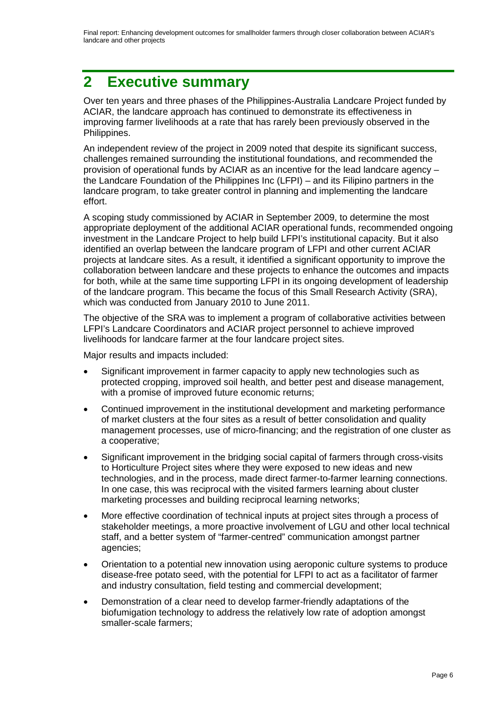## <span id="page-5-0"></span>**2 Executive summary**

Over ten years and three phases of the Philippines-Australia Landcare Project funded by ACIAR, the landcare approach has continued to demonstrate its effectiveness in improving farmer livelihoods at a rate that has rarely been previously observed in the Philippines.

An independent review of the project in 2009 noted that despite its significant success, challenges remained surrounding the institutional foundations, and recommended the provision of operational funds by ACIAR as an incentive for the lead landcare agency – the Landcare Foundation of the Philippines Inc (LFPI) – and its Filipino partners in the landcare program, to take greater control in planning and implementing the landcare effort.

A scoping study commissioned by ACIAR in September 2009, to determine the most appropriate deployment of the additional ACIAR operational funds, recommended ongoing investment in the Landcare Project to help build LFPI's institutional capacity. But it also identified an overlap between the landcare program of LFPI and other current ACIAR projects at landcare sites. As a result, it identified a significant opportunity to improve the collaboration between landcare and these projects to enhance the outcomes and impacts for both, while at the same time supporting LFPI in its ongoing development of leadership of the landcare program. This became the focus of this Small Research Activity (SRA), which was conducted from January 2010 to June 2011.

The objective of the SRA was to implement a program of collaborative activities between LFPI's Landcare Coordinators and ACIAR project personnel to achieve improved livelihoods for landcare farmer at the four landcare project sites.

Major results and impacts included:

- Significant improvement in farmer capacity to apply new technologies such as protected cropping, improved soil health, and better pest and disease management, with a promise of improved future economic returns;
- Continued improvement in the institutional development and marketing performance of market clusters at the four sites as a result of better consolidation and quality management processes, use of micro-financing; and the registration of one cluster as a cooperative;
- Significant improvement in the bridging social capital of farmers through cross-visits to Horticulture Project sites where they were exposed to new ideas and new technologies, and in the process, made direct farmer-to-farmer learning connections. In one case, this was reciprocal with the visited farmers learning about cluster marketing processes and building reciprocal learning networks;
- More effective coordination of technical inputs at project sites through a process of stakeholder meetings, a more proactive involvement of LGU and other local technical staff, and a better system of "farmer-centred" communication amongst partner agencies;
- Orientation to a potential new innovation using aeroponic culture systems to produce disease-free potato seed, with the potential for LFPI to act as a facilitator of farmer and industry consultation, field testing and commercial development;
- Demonstration of a clear need to develop farmer-friendly adaptations of the biofumigation technology to address the relatively low rate of adoption amongst smaller-scale farmers;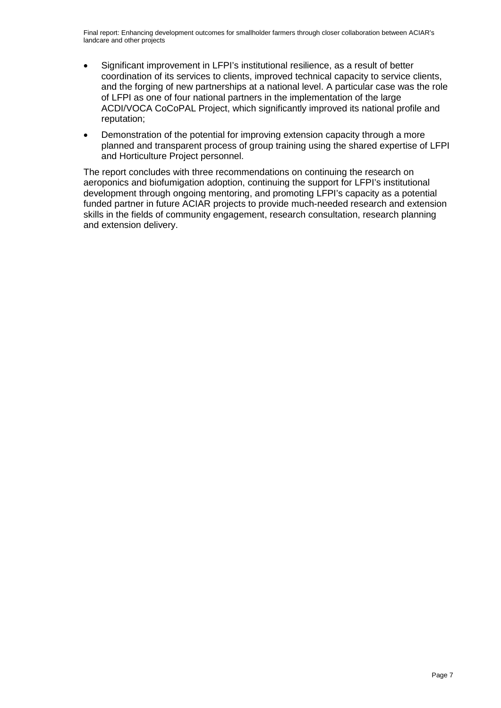- Significant improvement in LFPI's institutional resilience, as a result of better coordination of its services to clients, improved technical capacity to service clients, and the forging of new partnerships at a national level. A particular case was the role of LFPI as one of four national partners in the implementation of the large ACDI/VOCA CoCoPAL Project, which significantly improved its national profile and reputation;
- Demonstration of the potential for improving extension capacity through a more planned and transparent process of group training using the shared expertise of LFPI and Horticulture Project personnel.

The report concludes with three recommendations on continuing the research on aeroponics and biofumigation adoption, continuing the support for LFPI's institutional development through ongoing mentoring, and promoting LFPI's capacity as a potential funded partner in future ACIAR projects to provide much-needed research and extension skills in the fields of community engagement, research consultation, research planning and extension delivery.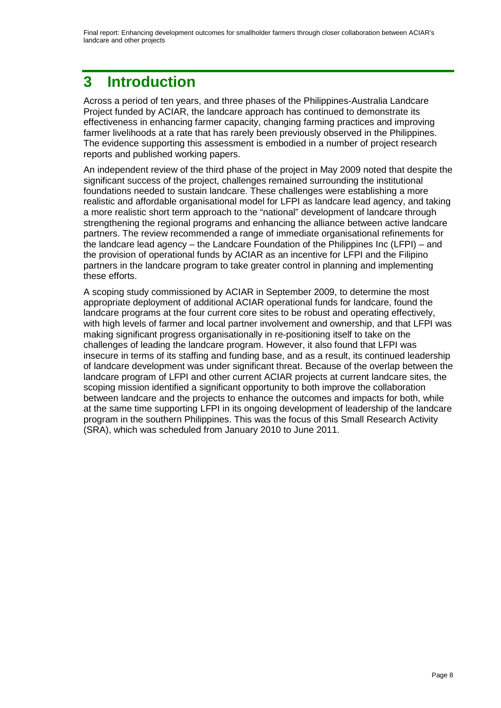# <span id="page-7-0"></span>**3 Introduction**

Across a period of ten years, and three phases of the Philippines-Australia Landcare Project funded by ACIAR, the landcare approach has continued to demonstrate its effectiveness in enhancing farmer capacity, changing farming practices and improving farmer livelihoods at a rate that has rarely been previously observed in the Philippines. The evidence supporting this assessment is embodied in a number of project research reports and published working papers.

An independent review of the third phase of the project in May 2009 noted that despite the significant success of the project, challenges remained surrounding the institutional foundations needed to sustain landcare. These challenges were establishing a more realistic and affordable organisational model for LFPI as landcare lead agency, and taking a more realistic short term approach to the "national" development of landcare through strengthening the regional programs and enhancing the alliance between active landcare partners. The review recommended a range of immediate organisational refinements for the landcare lead agency – the Landcare Foundation of the Philippines Inc (LFPI) – and the provision of operational funds by ACIAR as an incentive for LFPI and the Filipino partners in the landcare program to take greater control in planning and implementing these efforts.

A scoping study commissioned by ACIAR in September 2009, to determine the most appropriate deployment of additional ACIAR operational funds for landcare, found the landcare programs at the four current core sites to be robust and operating effectively, with high levels of farmer and local partner involvement and ownership, and that LFPI was making significant progress organisationally in re-positioning itself to take on the challenges of leading the landcare program. However, it also found that LFPI was insecure in terms of its staffing and funding base, and as a result, its continued leadership of landcare development was under significant threat. Because of the overlap between the landcare program of LFPI and other current ACIAR projects at current landcare sites, the scoping mission identified a significant opportunity to both improve the collaboration between landcare and the projects to enhance the outcomes and impacts for both, while at the same time supporting LFPI in its ongoing development of leadership of the landcare program in the southern Philippines. This was the focus of this Small Research Activity (SRA), which was scheduled from January 2010 to June 2011.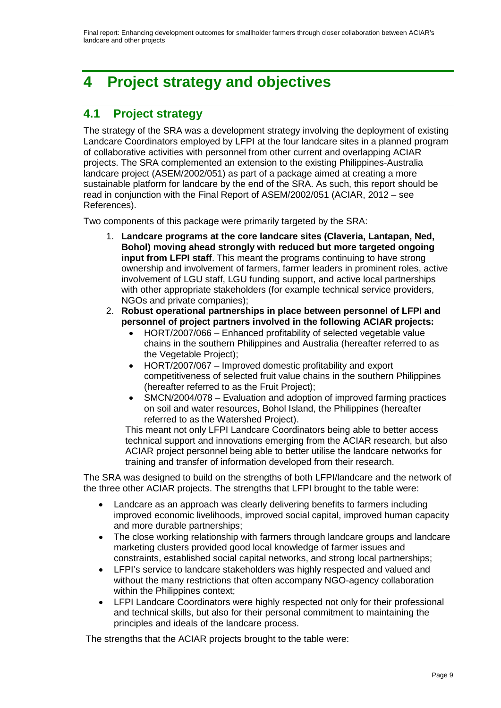# <span id="page-8-0"></span>**4 Project strategy and objectives**

## <span id="page-8-1"></span>**4.1 Project strategy**

The strategy of the SRA was a development strategy involving the deployment of existing Landcare Coordinators employed by LFPI at the four landcare sites in a planned program of collaborative activities with personnel from other current and overlapping ACIAR projects. The SRA complemented an extension to the existing Philippines-Australia landcare project (ASEM/2002/051) as part of a package aimed at creating a more sustainable platform for landcare by the end of the SRA. As such, this report should be read in conjunction with the Final Report of ASEM/2002/051 (ACIAR, 2012 – see References).

Two components of this package were primarily targeted by the SRA:

- 1. **Landcare programs at the core landcare sites (Claveria, Lantapan, Ned, Bohol) moving ahead strongly with reduced but more targeted ongoing input from LFPI staff**. This meant the programs continuing to have strong ownership and involvement of farmers, farmer leaders in prominent roles, active involvement of LGU staff, LGU funding support, and active local partnerships with other appropriate stakeholders (for example technical service providers, NGOs and private companies);
- 2. **Robust operational partnerships in place between personnel of LFPI and personnel of project partners involved in the following ACIAR projects:**
	- HORT/2007/066 Enhanced profitability of selected vegetable value chains in the southern Philippines and Australia (hereafter referred to as the Vegetable Project);
	- HORT/2007/067 Improved domestic profitability and export competitiveness of selected fruit value chains in the southern Philippines (hereafter referred to as the Fruit Project);
	- SMCN/2004/078 Evaluation and adoption of improved farming practices on soil and water resources, Bohol Island, the Philippines (hereafter referred to as the Watershed Project).

This meant not only LFPI Landcare Coordinators being able to better access technical support and innovations emerging from the ACIAR research, but also ACIAR project personnel being able to better utilise the landcare networks for training and transfer of information developed from their research.

The SRA was designed to build on the strengths of both LFPI/landcare and the network of the three other ACIAR projects. The strengths that LFPI brought to the table were:

- Landcare as an approach was clearly delivering benefits to farmers including improved economic livelihoods, improved social capital, improved human capacity and more durable partnerships;
- The close working relationship with farmers through landcare groups and landcare marketing clusters provided good local knowledge of farmer issues and constraints, established social capital networks, and strong local partnerships;
- LFPI's service to landcare stakeholders was highly respected and valued and without the many restrictions that often accompany NGO-agency collaboration within the Philippines context;
- LFPI Landcare Coordinators were highly respected not only for their professional and technical skills, but also for their personal commitment to maintaining the principles and ideals of the landcare process.

The strengths that the ACIAR projects brought to the table were: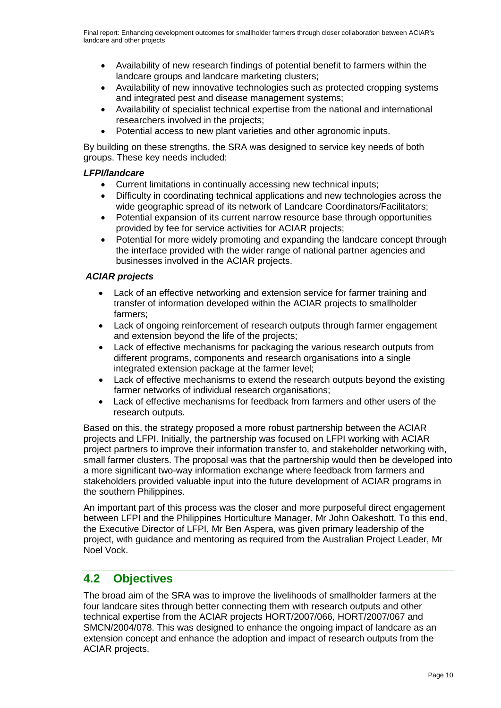- Availability of new research findings of potential benefit to farmers within the landcare groups and landcare marketing clusters;
- Availability of new innovative technologies such as protected cropping systems and integrated pest and disease management systems;
- Availability of specialist technical expertise from the national and international researchers involved in the projects;
- Potential access to new plant varieties and other agronomic inputs.

By building on these strengths, the SRA was designed to service key needs of both groups. These key needs included:

#### *LFPI/landcare*

- Current limitations in continually accessing new technical inputs;
- Difficulty in coordinating technical applications and new technologies across the wide geographic spread of its network of Landcare Coordinators/Facilitators;
- Potential expansion of its current narrow resource base through opportunities provided by fee for service activities for ACIAR projects;
- Potential for more widely promoting and expanding the landcare concept through the interface provided with the wider range of national partner agencies and businesses involved in the ACIAR projects.

#### *ACIAR projects*

- Lack of an effective networking and extension service for farmer training and transfer of information developed within the ACIAR projects to smallholder farmers;
- Lack of ongoing reinforcement of research outputs through farmer engagement and extension beyond the life of the projects;
- Lack of effective mechanisms for packaging the various research outputs from different programs, components and research organisations into a single integrated extension package at the farmer level;
- Lack of effective mechanisms to extend the research outputs beyond the existing farmer networks of individual research organisations;
- Lack of effective mechanisms for feedback from farmers and other users of the research outputs.

Based on this, the strategy proposed a more robust partnership between the ACIAR projects and LFPI. Initially, the partnership was focused on LFPI working with ACIAR project partners to improve their information transfer to, and stakeholder networking with, small farmer clusters. The proposal was that the partnership would then be developed into a more significant two-way information exchange where feedback from farmers and stakeholders provided valuable input into the future development of ACIAR programs in the southern Philippines.

An important part of this process was the closer and more purposeful direct engagement between LFPI and the Philippines Horticulture Manager, Mr John Oakeshott. To this end, the Executive Director of LFPI, Mr Ben Aspera, was given primary leadership of the project, with guidance and mentoring as required from the Australian Project Leader, Mr Noel Vock.

#### <span id="page-9-0"></span>**4.2 Objectives**

The broad aim of the SRA was to improve the livelihoods of smallholder farmers at the four landcare sites through better connecting them with research outputs and other technical expertise from the ACIAR projects HORT/2007/066, HORT/2007/067 and SMCN/2004/078. This was designed to enhance the ongoing impact of landcare as an extension concept and enhance the adoption and impact of research outputs from the ACIAR projects.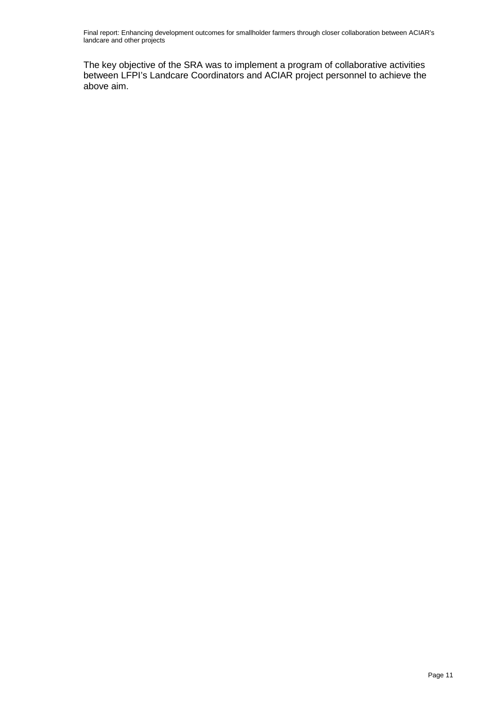The key objective of the SRA was to implement a program of collaborative activities between LFPI's Landcare Coordinators and ACIAR project personnel to achieve the above aim.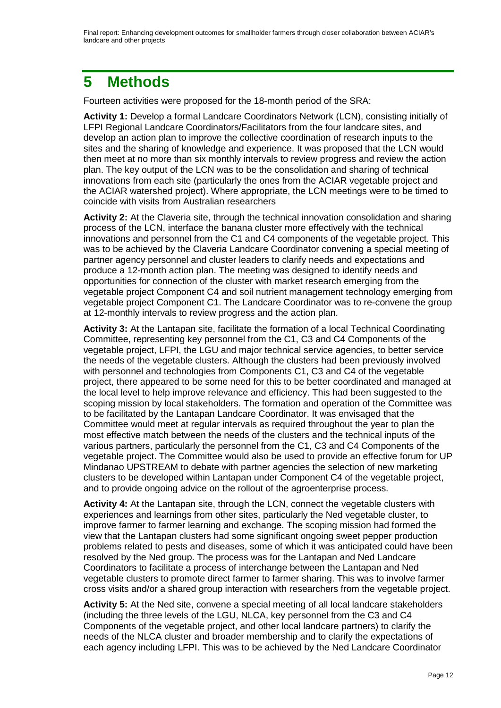## <span id="page-11-0"></span>**5 Methods**

Fourteen activities were proposed for the 18-month period of the SRA:

**Activity 1:** Develop a formal Landcare Coordinators Network (LCN), consisting initially of LFPI Regional Landcare Coordinators/Facilitators from the four landcare sites, and develop an action plan to improve the collective coordination of research inputs to the sites and the sharing of knowledge and experience. It was proposed that the LCN would then meet at no more than six monthly intervals to review progress and review the action plan. The key output of the LCN was to be the consolidation and sharing of technical innovations from each site (particularly the ones from the ACIAR vegetable project and the ACIAR watershed project). Where appropriate, the LCN meetings were to be timed to coincide with visits from Australian researchers

**Activity 2:** At the Claveria site, through the technical innovation consolidation and sharing process of the LCN, interface the banana cluster more effectively with the technical innovations and personnel from the C1 and C4 components of the vegetable project. This was to be achieved by the Claveria Landcare Coordinator convening a special meeting of partner agency personnel and cluster leaders to clarify needs and expectations and produce a 12-month action plan. The meeting was designed to identify needs and opportunities for connection of the cluster with market research emerging from the vegetable project Component C4 and soil nutrient management technology emerging from vegetable project Component C1. The Landcare Coordinator was to re-convene the group at 12-monthly intervals to review progress and the action plan.

**Activity 3:** At the Lantapan site, facilitate the formation of a local Technical Coordinating Committee, representing key personnel from the C1, C3 and C4 Components of the vegetable project, LFPI, the LGU and major technical service agencies, to better service the needs of the vegetable clusters. Although the clusters had been previously involved with personnel and technologies from Components C1, C3 and C4 of the vegetable project, there appeared to be some need for this to be better coordinated and managed at the local level to help improve relevance and efficiency. This had been suggested to the scoping mission by local stakeholders. The formation and operation of the Committee was to be facilitated by the Lantapan Landcare Coordinator. It was envisaged that the Committee would meet at regular intervals as required throughout the year to plan the most effective match between the needs of the clusters and the technical inputs of the various partners, particularly the personnel from the C1, C3 and C4 Components of the vegetable project. The Committee would also be used to provide an effective forum for UP Mindanao UPSTREAM to debate with partner agencies the selection of new marketing clusters to be developed within Lantapan under Component C4 of the vegetable project, and to provide ongoing advice on the rollout of the agroenterprise process.

**Activity 4:** At the Lantapan site, through the LCN, connect the vegetable clusters with experiences and learnings from other sites, particularly the Ned vegetable cluster, to improve farmer to farmer learning and exchange. The scoping mission had formed the view that the Lantapan clusters had some significant ongoing sweet pepper production problems related to pests and diseases, some of which it was anticipated could have been resolved by the Ned group. The process was for the Lantapan and Ned Landcare Coordinators to facilitate a process of interchange between the Lantapan and Ned vegetable clusters to promote direct farmer to farmer sharing. This was to involve farmer cross visits and/or a shared group interaction with researchers from the vegetable project.

**Activity 5:** At the Ned site, convene a special meeting of all local landcare stakeholders (including the three levels of the LGU, NLCA, key personnel from the C3 and C4 Components of the vegetable project, and other local landcare partners) to clarify the needs of the NLCA cluster and broader membership and to clarify the expectations of each agency including LFPI. This was to be achieved by the Ned Landcare Coordinator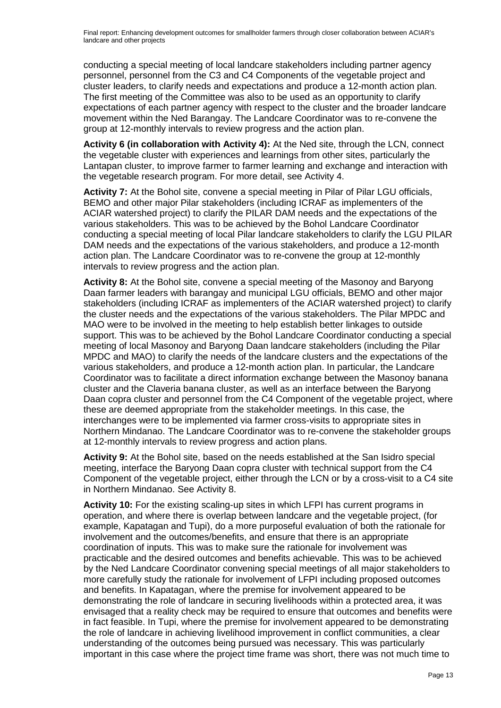conducting a special meeting of local landcare stakeholders including partner agency personnel, personnel from the C3 and C4 Components of the vegetable project and cluster leaders, to clarify needs and expectations and produce a 12-month action plan. The first meeting of the Committee was also to be used as an opportunity to clarify expectations of each partner agency with respect to the cluster and the broader landcare movement within the Ned Barangay. The Landcare Coordinator was to re-convene the group at 12-monthly intervals to review progress and the action plan.

**Activity 6 (in collaboration with Activity 4):** At the Ned site, through the LCN, connect the vegetable cluster with experiences and learnings from other sites, particularly the Lantapan cluster, to improve farmer to farmer learning and exchange and interaction with the vegetable research program. For more detail, see Activity 4.

**Activity 7:** At the Bohol site, convene a special meeting in Pilar of Pilar LGU officials, BEMO and other major Pilar stakeholders (including ICRAF as implementers of the ACIAR watershed project) to clarify the PILAR DAM needs and the expectations of the various stakeholders. This was to be achieved by the Bohol Landcare Coordinator conducting a special meeting of local Pilar landcare stakeholders to clarify the LGU PILAR DAM needs and the expectations of the various stakeholders, and produce a 12-month action plan. The Landcare Coordinator was to re-convene the group at 12-monthly intervals to review progress and the action plan.

**Activity 8:** At the Bohol site, convene a special meeting of the Masonoy and Baryong Daan farmer leaders with barangay and municipal LGU officials, BEMO and other major stakeholders (including ICRAF as implementers of the ACIAR watershed project) to clarify the cluster needs and the expectations of the various stakeholders. The Pilar MPDC and MAO were to be involved in the meeting to help establish better linkages to outside support. This was to be achieved by the Bohol Landcare Coordinator conducting a special meeting of local Masonoy and Baryong Daan landcare stakeholders (including the Pilar MPDC and MAO) to clarify the needs of the landcare clusters and the expectations of the various stakeholders, and produce a 12-month action plan. In particular, the Landcare Coordinator was to facilitate a direct information exchange between the Masonoy banana cluster and the Claveria banana cluster, as well as an interface between the Baryong Daan copra cluster and personnel from the C4 Component of the vegetable project, where these are deemed appropriate from the stakeholder meetings. In this case, the interchanges were to be implemented via farmer cross-visits to appropriate sites in Northern Mindanao. The Landcare Coordinator was to re-convene the stakeholder groups at 12-monthly intervals to review progress and action plans.

**Activity 9:** At the Bohol site, based on the needs established at the San Isidro special meeting, interface the Baryong Daan copra cluster with technical support from the C4 Component of the vegetable project, either through the LCN or by a cross-visit to a C4 site in Northern Mindanao. See Activity 8.

**Activity 10:** For the existing scaling-up sites in which LFPI has current programs in operation, and where there is overlap between landcare and the vegetable project, (for example, Kapatagan and Tupi), do a more purposeful evaluation of both the rationale for involvement and the outcomes/benefits, and ensure that there is an appropriate coordination of inputs. This was to make sure the rationale for involvement was practicable and the desired outcomes and benefits achievable. This was to be achieved by the Ned Landcare Coordinator convening special meetings of all major stakeholders to more carefully study the rationale for involvement of LFPI including proposed outcomes and benefits. In Kapatagan, where the premise for involvement appeared to be demonstrating the role of landcare in securing livelihoods within a protected area, it was envisaged that a reality check may be required to ensure that outcomes and benefits were in fact feasible. In Tupi, where the premise for involvement appeared to be demonstrating the role of landcare in achieving livelihood improvement in conflict communities, a clear understanding of the outcomes being pursued was necessary. This was particularly important in this case where the project time frame was short, there was not much time to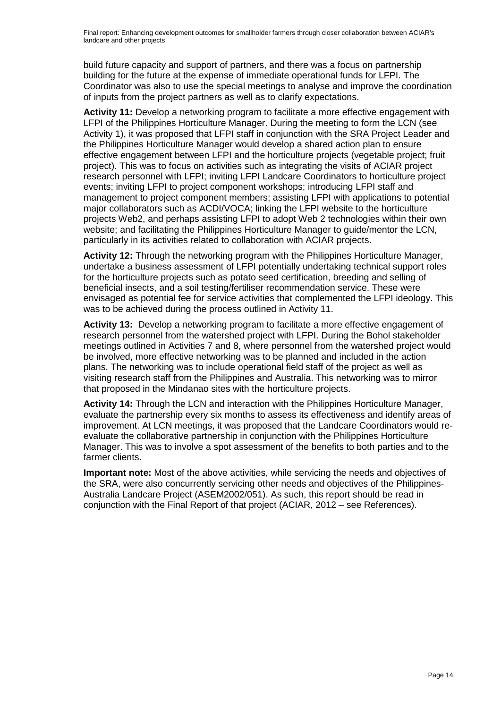build future capacity and support of partners, and there was a focus on partnership building for the future at the expense of immediate operational funds for LFPI. The Coordinator was also to use the special meetings to analyse and improve the coordination of inputs from the project partners as well as to clarify expectations.

**Activity 11:** Develop a networking program to facilitate a more effective engagement with LFPI of the Philippines Horticulture Manager. During the meeting to form the LCN (see Activity 1), it was proposed that LFPI staff in conjunction with the SRA Project Leader and the Philippines Horticulture Manager would develop a shared action plan to ensure effective engagement between LFPI and the horticulture projects (vegetable project; fruit project). This was to focus on activities such as integrating the visits of ACIAR project research personnel with LFPI; inviting LFPI Landcare Coordinators to horticulture project events; inviting LFPI to project component workshops; introducing LFPI staff and management to project component members; assisting LFPI with applications to potential major collaborators such as ACDI/VOCA; linking the LFPI website to the horticulture projects Web2, and perhaps assisting LFPI to adopt Web 2 technologies within their own website; and facilitating the Philippines Horticulture Manager to guide/mentor the LCN, particularly in its activities related to collaboration with ACIAR projects.

**Activity 12:** Through the networking program with the Philippines Horticulture Manager, undertake a business assessment of LFPI potentially undertaking technical support roles for the horticulture projects such as potato seed certification, breeding and selling of beneficial insects, and a soil testing/fertiliser recommendation service. These were envisaged as potential fee for service activities that complemented the LFPI ideology. This was to be achieved during the process outlined in Activity 11.

**Activity 13:** Develop a networking program to facilitate a more effective engagement of research personnel from the watershed project with LFPI. During the Bohol stakeholder meetings outlined in Activities 7 and 8, where personnel from the watershed project would be involved, more effective networking was to be planned and included in the action plans. The networking was to include operational field staff of the project as well as visiting research staff from the Philippines and Australia. This networking was to mirror that proposed in the Mindanao sites with the horticulture projects.

**Activity 14:** Through the LCN and interaction with the Philippines Horticulture Manager, evaluate the partnership every six months to assess its effectiveness and identify areas of improvement. At LCN meetings, it was proposed that the Landcare Coordinators would reevaluate the collaborative partnership in conjunction with the Philippines Horticulture Manager. This was to involve a spot assessment of the benefits to both parties and to the farmer clients.

**Important note:** Most of the above activities, while servicing the needs and objectives of the SRA, were also concurrently servicing other needs and objectives of the Philippines-Australia Landcare Project (ASEM2002/051). As such, this report should be read in conjunction with the Final Report of that project (ACIAR, 2012 – see References).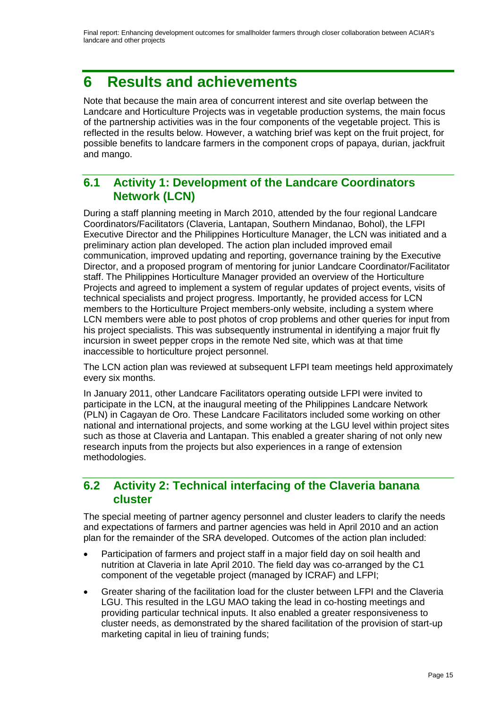# <span id="page-14-0"></span>**6 Results and achievements**

Note that because the main area of concurrent interest and site overlap between the Landcare and Horticulture Projects was in vegetable production systems, the main focus of the partnership activities was in the four components of the vegetable project. This is reflected in the results below. However, a watching brief was kept on the fruit project, for possible benefits to landcare farmers in the component crops of papaya, durian, jackfruit and mango.

#### <span id="page-14-1"></span>**6.1 Activity 1: Development of the Landcare Coordinators Network (LCN)**

During a staff planning meeting in March 2010, attended by the four regional Landcare Coordinators/Facilitators (Claveria, Lantapan, Southern Mindanao, Bohol), the LFPI Executive Director and the Philippines Horticulture Manager, the LCN was initiated and a preliminary action plan developed. The action plan included improved email communication, improved updating and reporting, governance training by the Executive Director, and a proposed program of mentoring for junior Landcare Coordinator/Facilitator staff. The Philippines Horticulture Manager provided an overview of the Horticulture Projects and agreed to implement a system of regular updates of project events, visits of technical specialists and project progress. Importantly, he provided access for LCN members to the Horticulture Project members-only website, including a system where LCN members were able to post photos of crop problems and other queries for input from his project specialists. This was subsequently instrumental in identifying a major fruit fly incursion in sweet pepper crops in the remote Ned site, which was at that time inaccessible to horticulture project personnel.

The LCN action plan was reviewed at subsequent LFPI team meetings held approximately every six months.

In January 2011, other Landcare Facilitators operating outside LFPI were invited to participate in the LCN, at the inaugural meeting of the Philippines Landcare Network (PLN) in Cagayan de Oro. These Landcare Facilitators included some working on other national and international projects, and some working at the LGU level within project sites such as those at Claveria and Lantapan. This enabled a greater sharing of not only new research inputs from the projects but also experiences in a range of extension methodologies.

#### <span id="page-14-2"></span>**6.2 Activity 2: Technical interfacing of the Claveria banana cluster**

The special meeting of partner agency personnel and cluster leaders to clarify the needs and expectations of farmers and partner agencies was held in April 2010 and an action plan for the remainder of the SRA developed. Outcomes of the action plan included:

- Participation of farmers and project staff in a major field day on soil health and nutrition at Claveria in late April 2010. The field day was co-arranged by the C1 component of the vegetable project (managed by ICRAF) and LFPI;
- Greater sharing of the facilitation load for the cluster between LFPI and the Claveria LGU. This resulted in the LGU MAO taking the lead in co-hosting meetings and providing particular technical inputs. It also enabled a greater responsiveness to cluster needs, as demonstrated by the shared facilitation of the provision of start-up marketing capital in lieu of training funds;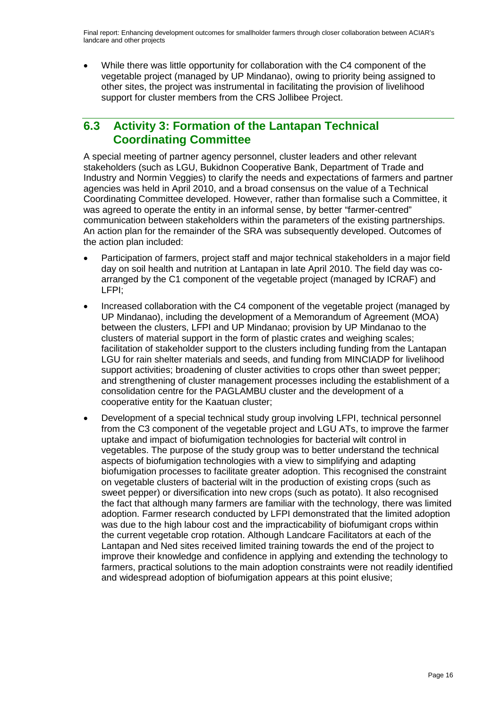• While there was little opportunity for collaboration with the C4 component of the vegetable project (managed by UP Mindanao), owing to priority being assigned to other sites, the project was instrumental in facilitating the provision of livelihood support for cluster members from the CRS Jollibee Project.

### <span id="page-15-0"></span>**6.3 Activity 3: Formation of the Lantapan Technical Coordinating Committee**

A special meeting of partner agency personnel, cluster leaders and other relevant stakeholders (such as LGU, Bukidnon Cooperative Bank, Department of Trade and Industry and Normin Veggies) to clarify the needs and expectations of farmers and partner agencies was held in April 2010, and a broad consensus on the value of a Technical Coordinating Committee developed. However, rather than formalise such a Committee, it was agreed to operate the entity in an informal sense, by better "farmer-centred" communication between stakeholders within the parameters of the existing partnerships. An action plan for the remainder of the SRA was subsequently developed. Outcomes of the action plan included:

- Participation of farmers, project staff and major technical stakeholders in a major field day on soil health and nutrition at Lantapan in late April 2010. The field day was coarranged by the C1 component of the vegetable project (managed by ICRAF) and LFPI;
- Increased collaboration with the C4 component of the vegetable project (managed by UP Mindanao), including the development of a Memorandum of Agreement (MOA) between the clusters, LFPI and UP Mindanao; provision by UP Mindanao to the clusters of material support in the form of plastic crates and weighing scales; facilitation of stakeholder support to the clusters including funding from the Lantapan LGU for rain shelter materials and seeds, and funding from MINCIADP for livelihood support activities; broadening of cluster activities to crops other than sweet pepper; and strengthening of cluster management processes including the establishment of a consolidation centre for the PAGLAMBU cluster and the development of a cooperative entity for the Kaatuan cluster;
- Development of a special technical study group involving LFPI, technical personnel from the C3 component of the vegetable project and LGU ATs, to improve the farmer uptake and impact of biofumigation technologies for bacterial wilt control in vegetables. The purpose of the study group was to better understand the technical aspects of biofumigation technologies with a view to simplifying and adapting biofumigation processes to facilitate greater adoption. This recognised the constraint on vegetable clusters of bacterial wilt in the production of existing crops (such as sweet pepper) or diversification into new crops (such as potato). It also recognised the fact that although many farmers are familiar with the technology, there was limited adoption. Farmer research conducted by LFPI demonstrated that the limited adoption was due to the high labour cost and the impracticability of biofumigant crops within the current vegetable crop rotation. Although Landcare Facilitators at each of the Lantapan and Ned sites received limited training towards the end of the project to improve their knowledge and confidence in applying and extending the technology to farmers, practical solutions to the main adoption constraints were not readily identified and widespread adoption of biofumigation appears at this point elusive;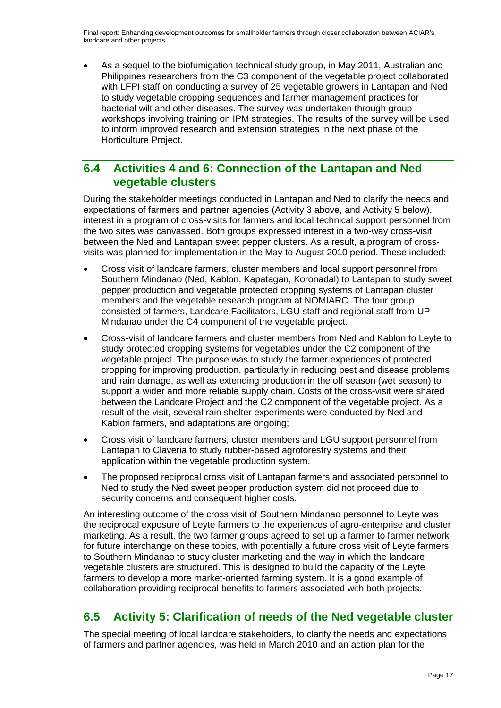• As a sequel to the biofumigation technical study group, in May 2011, Australian and Philippines researchers from the C3 component of the vegetable project collaborated with LFPI staff on conducting a survey of 25 vegetable growers in Lantapan and Ned to study vegetable cropping sequences and farmer management practices for bacterial wilt and other diseases. The survey was undertaken through group workshops involving training on IPM strategies. The results of the survey will be used to inform improved research and extension strategies in the next phase of the Horticulture Project.

#### <span id="page-16-0"></span>**6.4 Activities 4 and 6: Connection of the Lantapan and Ned vegetable clusters**

During the stakeholder meetings conducted in Lantapan and Ned to clarify the needs and expectations of farmers and partner agencies (Activity 3 above, and Activity 5 below), interest in a program of cross-visits for farmers and local technical support personnel from the two sites was canvassed. Both groups expressed interest in a two-way cross-visit between the Ned and Lantapan sweet pepper clusters. As a result, a program of crossvisits was planned for implementation in the May to August 2010 period. These included:

- Cross visit of landcare farmers, cluster members and local support personnel from Southern Mindanao (Ned, Kablon, Kapatagan, Koronadal) to Lantapan to study sweet pepper production and vegetable protected cropping systems of Lantapan cluster members and the vegetable research program at NOMIARC. The tour group consisted of farmers, Landcare Facilitators, LGU staff and regional staff from UP-Mindanao under the C4 component of the vegetable project.
- Cross-visit of landcare farmers and cluster members from Ned and Kablon to Leyte to study protected cropping systems for vegetables under the C2 component of the vegetable project. The purpose was to study the farmer experiences of protected cropping for improving production, particularly in reducing pest and disease problems and rain damage, as well as extending production in the off season (wet season) to support a wider and more reliable supply chain. Costs of the cross-visit were shared between the Landcare Project and the C2 component of the vegetable project. As a result of the visit, several rain shelter experiments were conducted by Ned and Kablon farmers, and adaptations are ongoing;
- Cross visit of landcare farmers, cluster members and LGU support personnel from Lantapan to Claveria to study rubber-based agroforestry systems and their application within the vegetable production system.
- The proposed reciprocal cross visit of Lantapan farmers and associated personnel to Ned to study the Ned sweet pepper production system did not proceed due to security concerns and consequent higher costs.

An interesting outcome of the cross visit of Southern Mindanao personnel to Leyte was the reciprocal exposure of Leyte farmers to the experiences of agro-enterprise and cluster marketing. As a result, the two farmer groups agreed to set up a farmer to farmer network for future interchange on these topics, with potentially a future cross visit of Leyte farmers to Southern Mindanao to study cluster marketing and the way in which the landcare vegetable clusters are structured. This is designed to build the capacity of the Leyte farmers to develop a more market-oriented farming system. It is a good example of collaboration providing reciprocal benefits to farmers associated with both projects.

#### <span id="page-16-1"></span>**6.5 Activity 5: Clarification of needs of the Ned vegetable cluster**

The special meeting of local landcare stakeholders, to clarify the needs and expectations of farmers and partner agencies, was held in March 2010 and an action plan for the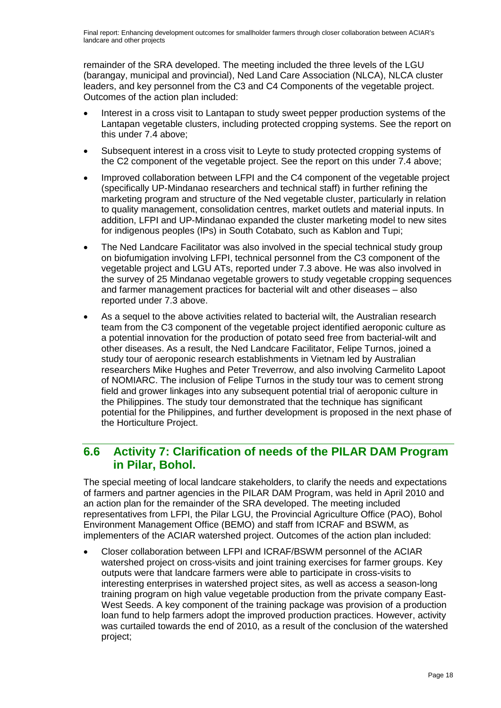remainder of the SRA developed. The meeting included the three levels of the LGU (barangay, municipal and provincial), Ned Land Care Association (NLCA), NLCA cluster leaders, and key personnel from the C3 and C4 Components of the vegetable project. Outcomes of the action plan included:

- Interest in a cross visit to Lantapan to study sweet pepper production systems of the Lantapan vegetable clusters, including protected cropping systems. See the report on this under 7.4 above;
- Subsequent interest in a cross visit to Leyte to study protected cropping systems of the C2 component of the vegetable project. See the report on this under 7.4 above;
- Improved collaboration between LFPI and the C4 component of the vegetable project (specifically UP-Mindanao researchers and technical staff) in further refining the marketing program and structure of the Ned vegetable cluster, particularly in relation to quality management, consolidation centres, market outlets and material inputs. In addition, LFPI and UP-Mindanao expanded the cluster marketing model to new sites for indigenous peoples (IPs) in South Cotabato, such as Kablon and Tupi;
- The Ned Landcare Facilitator was also involved in the special technical study group on biofumigation involving LFPI, technical personnel from the C3 component of the vegetable project and LGU ATs, reported under 7.3 above. He was also involved in the survey of 25 Mindanao vegetable growers to study vegetable cropping sequences and farmer management practices for bacterial wilt and other diseases – also reported under 7.3 above.
- As a sequel to the above activities related to bacterial wilt, the Australian research team from the C3 component of the vegetable project identified aeroponic culture as a potential innovation for the production of potato seed free from bacterial-wilt and other diseases. As a result, the Ned Landcare Facilitator, Felipe Turnos, joined a study tour of aeroponic research establishments in Vietnam led by Australian researchers Mike Hughes and Peter Treverrow, and also involving Carmelito Lapoot of NOMIARC. The inclusion of Felipe Turnos in the study tour was to cement strong field and grower linkages into any subsequent potential trial of aeroponic culture in the Philippines. The study tour demonstrated that the technique has significant potential for the Philippines, and further development is proposed in the next phase of the Horticulture Project.

#### <span id="page-17-0"></span>**6.6 Activity 7: Clarification of needs of the PILAR DAM Program in Pilar, Bohol.**

The special meeting of local landcare stakeholders, to clarify the needs and expectations of farmers and partner agencies in the PILAR DAM Program, was held in April 2010 and an action plan for the remainder of the SRA developed. The meeting included representatives from LFPI, the Pilar LGU, the Provincial Agriculture Office (PAO), Bohol Environment Management Office (BEMO) and staff from ICRAF and BSWM, as implementers of the ACIAR watershed project. Outcomes of the action plan included:

• Closer collaboration between LFPI and ICRAF/BSWM personnel of the ACIAR watershed project on cross-visits and joint training exercises for farmer groups. Key outputs were that landcare farmers were able to participate in cross-visits to interesting enterprises in watershed project sites, as well as access a season-long training program on high value vegetable production from the private company East-West Seeds. A key component of the training package was provision of a production loan fund to help farmers adopt the improved production practices. However, activity was curtailed towards the end of 2010, as a result of the conclusion of the watershed project;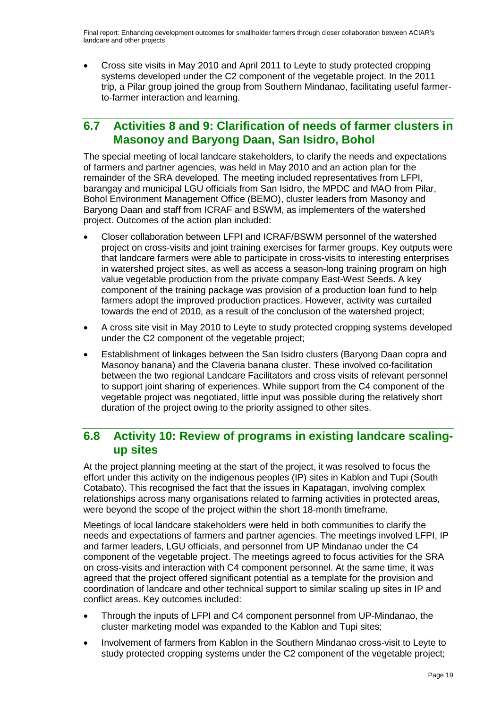• Cross site visits in May 2010 and April 2011 to Leyte to study protected cropping systems developed under the C2 component of the vegetable project. In the 2011 trip, a Pilar group joined the group from Southern Mindanao, facilitating useful farmerto-farmer interaction and learning.

#### <span id="page-18-0"></span>**6.7 Activities 8 and 9: Clarification of needs of farmer clusters in Masonoy and Baryong Daan, San Isidro, Bohol**

The special meeting of local landcare stakeholders, to clarify the needs and expectations of farmers and partner agencies, was held in May 2010 and an action plan for the remainder of the SRA developed. The meeting included representatives from LFPI, barangay and municipal LGU officials from San Isidro, the MPDC and MAO from Pilar, Bohol Environment Management Office (BEMO), cluster leaders from Masonoy and Baryong Daan and staff from ICRAF and BSWM, as implementers of the watershed project. Outcomes of the action plan included:

- Closer collaboration between LFPI and ICRAF/BSWM personnel of the watershed project on cross-visits and joint training exercises for farmer groups. Key outputs were that landcare farmers were able to participate in cross-visits to interesting enterprises in watershed project sites, as well as access a season-long training program on high value vegetable production from the private company East-West Seeds. A key component of the training package was provision of a production loan fund to help farmers adopt the improved production practices. However, activity was curtailed towards the end of 2010, as a result of the conclusion of the watershed project;
- A cross site visit in May 2010 to Leyte to study protected cropping systems developed under the C2 component of the vegetable project;
- Establishment of linkages between the San Isidro clusters (Baryong Daan copra and Masonoy banana) and the Claveria banana cluster. These involved co-facilitation between the two regional Landcare Facilitators and cross visits of relevant personnel to support joint sharing of experiences. While support from the C4 component of the vegetable project was negotiated, little input was possible during the relatively short duration of the project owing to the priority assigned to other sites.

#### <span id="page-18-1"></span>**6.8 Activity 10: Review of programs in existing landcare scalingup sites**

At the project planning meeting at the start of the project, it was resolved to focus the effort under this activity on the indigenous peoples (IP) sites in Kablon and Tupi (South Cotabato). This recognised the fact that the issues in Kapatagan, involving complex relationships across many organisations related to farming activities in protected areas, were beyond the scope of the project within the short 18-month timeframe.

Meetings of local landcare stakeholders were held in both communities to clarify the needs and expectations of farmers and partner agencies. The meetings involved LFPI, IP and farmer leaders, LGU officials, and personnel from UP Mindanao under the C4 component of the vegetable project. The meetings agreed to focus activities for the SRA on cross-visits and interaction with C4 component personnel. At the same time, it was agreed that the project offered significant potential as a template for the provision and coordination of landcare and other technical support to similar scaling up sites in IP and conflict areas. Key outcomes included:

- Through the inputs of LFPI and C4 component personnel from UP-Mindanao, the cluster marketing model was expanded to the Kablon and Tupi sites;
- Involvement of farmers from Kablon in the Southern Mindanao cross-visit to Leyte to study protected cropping systems under the C2 component of the vegetable project;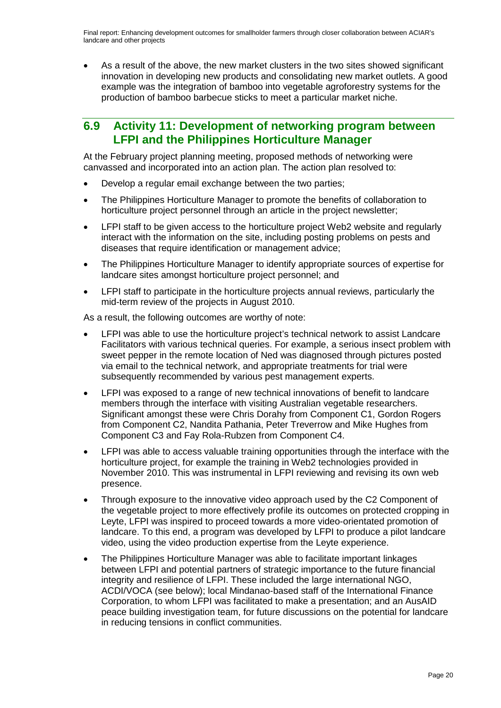• As a result of the above, the new market clusters in the two sites showed significant innovation in developing new products and consolidating new market outlets. A good example was the integration of bamboo into vegetable agroforestry systems for the production of bamboo barbecue sticks to meet a particular market niche.

#### <span id="page-19-0"></span>**6.9 Activity 11: Development of networking program between LFPI and the Philippines Horticulture Manager**

At the February project planning meeting, proposed methods of networking were canvassed and incorporated into an action plan. The action plan resolved to:

- Develop a regular email exchange between the two parties:
- The Philippines Horticulture Manager to promote the benefits of collaboration to horticulture project personnel through an article in the project newsletter;
- LFPI staff to be given access to the horticulture project Web2 website and regularly interact with the information on the site, including posting problems on pests and diseases that require identification or management advice;
- The Philippines Horticulture Manager to identify appropriate sources of expertise for landcare sites amongst horticulture project personnel; and
- LFPI staff to participate in the horticulture projects annual reviews, particularly the mid-term review of the projects in August 2010.

As a result, the following outcomes are worthy of note:

- LFPI was able to use the horticulture project's technical network to assist Landcare Facilitators with various technical queries. For example, a serious insect problem with sweet pepper in the remote location of Ned was diagnosed through pictures posted via email to the technical network, and appropriate treatments for trial were subsequently recommended by various pest management experts.
- LFPI was exposed to a range of new technical innovations of benefit to landcare members through the interface with visiting Australian vegetable researchers. Significant amongst these were Chris Dorahy from Component C1, Gordon Rogers from Component C2, Nandita Pathania, Peter Treverrow and Mike Hughes from Component C3 and Fay Rola-Rubzen from Component C4.
- LFPI was able to access valuable training opportunities through the interface with the horticulture project, for example the training in Web2 technologies provided in November 2010. This was instrumental in LFPI reviewing and revising its own web presence.
- Through exposure to the innovative video approach used by the C2 Component of the vegetable project to more effectively profile its outcomes on protected cropping in Leyte, LFPI was inspired to proceed towards a more video-orientated promotion of landcare. To this end, a program was developed by LFPI to produce a pilot landcare video, using the video production expertise from the Leyte experience.
- The Philippines Horticulture Manager was able to facilitate important linkages between LFPI and potential partners of strategic importance to the future financial integrity and resilience of LFPI. These included the large international NGO, ACDI/VOCA (see below); local Mindanao-based staff of the International Finance Corporation, to whom LFPI was facilitated to make a presentation; and an AusAID peace building investigation team, for future discussions on the potential for landcare in reducing tensions in conflict communities.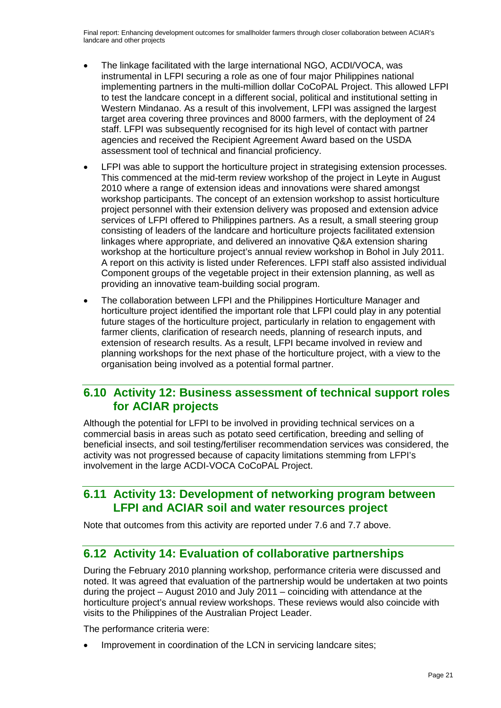- The linkage facilitated with the large international NGO, ACDI/VOCA, was instrumental in LFPI securing a role as one of four major Philippines national implementing partners in the multi-million dollar CoCoPAL Project. This allowed LFPI to test the landcare concept in a different social, political and institutional setting in Western Mindanao. As a result of this involvement, LFPI was assigned the largest target area covering three provinces and 8000 farmers, with the deployment of 24 staff. LFPI was subsequently recognised for its high level of contact with partner agencies and received the Recipient Agreement Award based on the USDA assessment tool of technical and financial proficiency.
- LFPI was able to support the horticulture project in strategising extension processes. This commenced at the mid-term review workshop of the project in Leyte in August 2010 where a range of extension ideas and innovations were shared amongst workshop participants. The concept of an extension workshop to assist horticulture project personnel with their extension delivery was proposed and extension advice services of LFPI offered to Philippines partners. As a result, a small steering group consisting of leaders of the landcare and horticulture projects facilitated extension linkages where appropriate, and delivered an innovative Q&A extension sharing workshop at the horticulture project's annual review workshop in Bohol in July 2011. A report on this activity is listed under References. LFPI staff also assisted individual Component groups of the vegetable project in their extension planning, as well as providing an innovative team-building social program.
- The collaboration between LFPI and the Philippines Horticulture Manager and horticulture project identified the important role that LFPI could play in any potential future stages of the horticulture project, particularly in relation to engagement with farmer clients, clarification of research needs, planning of research inputs, and extension of research results. As a result, LFPI became involved in review and planning workshops for the next phase of the horticulture project, with a view to the organisation being involved as a potential formal partner.

#### <span id="page-20-0"></span>**6.10 Activity 12: Business assessment of technical support roles for ACIAR projects**

Although the potential for LFPI to be involved in providing technical services on a commercial basis in areas such as potato seed certification, breeding and selling of beneficial insects, and soil testing/fertiliser recommendation services was considered, the activity was not progressed because of capacity limitations stemming from LFPI's involvement in the large ACDI-VOCA CoCoPAL Project.

#### <span id="page-20-1"></span>**6.11 Activity 13: Development of networking program between LFPI and ACIAR soil and water resources project**

Note that outcomes from this activity are reported under 7.6 and 7.7 above.

#### <span id="page-20-2"></span>**6.12 Activity 14: Evaluation of collaborative partnerships**

During the February 2010 planning workshop, performance criteria were discussed and noted. It was agreed that evaluation of the partnership would be undertaken at two points during the project – August 2010 and July 2011 – coinciding with attendance at the horticulture project's annual review workshops. These reviews would also coincide with visits to the Philippines of the Australian Project Leader.

The performance criteria were:

Improvement in coordination of the LCN in servicing landcare sites;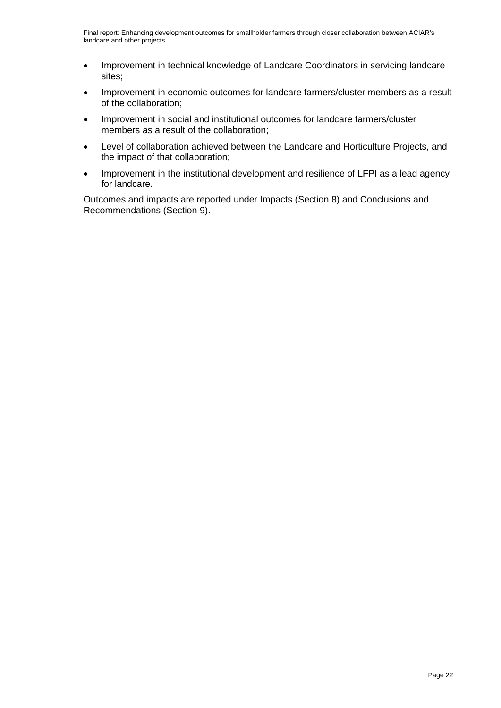- Improvement in technical knowledge of Landcare Coordinators in servicing landcare sites;
- Improvement in economic outcomes for landcare farmers/cluster members as a result of the collaboration;
- Improvement in social and institutional outcomes for landcare farmers/cluster members as a result of the collaboration;
- Level of collaboration achieved between the Landcare and Horticulture Projects, and the impact of that collaboration;
- Improvement in the institutional development and resilience of LFPI as a lead agency for landcare.

Outcomes and impacts are reported under Impacts (Section 8) and Conclusions and Recommendations (Section 9).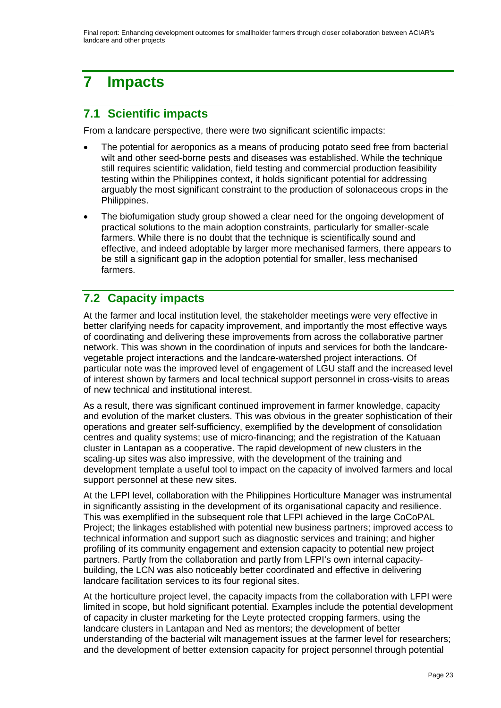# <span id="page-22-0"></span>**7 Impacts**

## <span id="page-22-1"></span>**7.1 Scientific impacts**

From a landcare perspective, there were two significant scientific impacts:

- The potential for aeroponics as a means of producing potato seed free from bacterial wilt and other seed-borne pests and diseases was established. While the technique still requires scientific validation, field testing and commercial production feasibility testing within the Philippines context, it holds significant potential for addressing arguably the most significant constraint to the production of solonaceous crops in the Philippines.
- The biofumigation study group showed a clear need for the ongoing development of practical solutions to the main adoption constraints, particularly for smaller-scale farmers. While there is no doubt that the technique is scientifically sound and effective, and indeed adoptable by larger more mechanised farmers, there appears to be still a significant gap in the adoption potential for smaller, less mechanised farmers.

## <span id="page-22-2"></span>**7.2 Capacity impacts**

At the farmer and local institution level, the stakeholder meetings were very effective in better clarifying needs for capacity improvement, and importantly the most effective ways of coordinating and delivering these improvements from across the collaborative partner network. This was shown in the coordination of inputs and services for both the landcarevegetable project interactions and the landcare-watershed project interactions. Of particular note was the improved level of engagement of LGU staff and the increased level of interest shown by farmers and local technical support personnel in cross-visits to areas of new technical and institutional interest.

As a result, there was significant continued improvement in farmer knowledge, capacity and evolution of the market clusters. This was obvious in the greater sophistication of their operations and greater self-sufficiency, exemplified by the development of consolidation centres and quality systems; use of micro-financing; and the registration of the Katuaan cluster in Lantapan as a cooperative. The rapid development of new clusters in the scaling-up sites was also impressive, with the development of the training and development template a useful tool to impact on the capacity of involved farmers and local support personnel at these new sites.

At the LFPI level, collaboration with the Philippines Horticulture Manager was instrumental in significantly assisting in the development of its organisational capacity and resilience. This was exemplified in the subsequent role that LFPI achieved in the large CoCoPAL Project; the linkages established with potential new business partners; improved access to technical information and support such as diagnostic services and training; and higher profiling of its community engagement and extension capacity to potential new project partners. Partly from the collaboration and partly from LFPI's own internal capacitybuilding, the LCN was also noticeably better coordinated and effective in delivering landcare facilitation services to its four regional sites.

At the horticulture project level, the capacity impacts from the collaboration with LFPI were limited in scope, but hold significant potential. Examples include the potential development of capacity in cluster marketing for the Leyte protected cropping farmers, using the landcare clusters in Lantapan and Ned as mentors; the development of better understanding of the bacterial wilt management issues at the farmer level for researchers; and the development of better extension capacity for project personnel through potential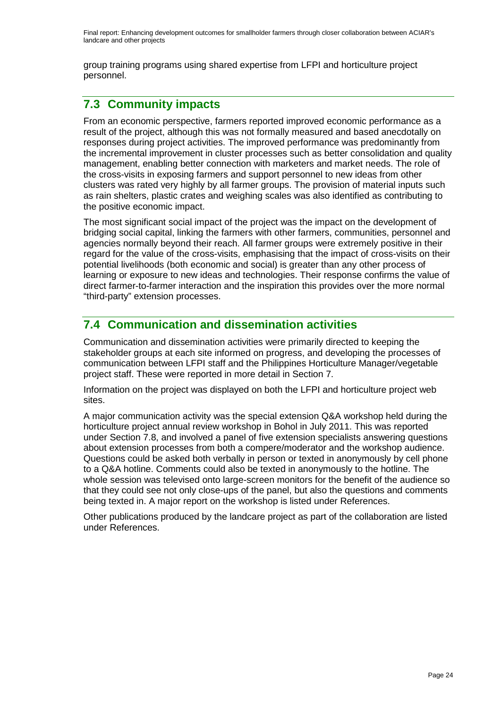group training programs using shared expertise from LFPI and horticulture project personnel.

## <span id="page-23-0"></span>**7.3 Community impacts**

From an economic perspective, farmers reported improved economic performance as a result of the project, although this was not formally measured and based anecdotally on responses during project activities. The improved performance was predominantly from the incremental improvement in cluster processes such as better consolidation and quality management, enabling better connection with marketers and market needs. The role of the cross-visits in exposing farmers and support personnel to new ideas from other clusters was rated very highly by all farmer groups. The provision of material inputs such as rain shelters, plastic crates and weighing scales was also identified as contributing to the positive economic impact.

The most significant social impact of the project was the impact on the development of bridging social capital, linking the farmers with other farmers, communities, personnel and agencies normally beyond their reach. All farmer groups were extremely positive in their regard for the value of the cross-visits, emphasising that the impact of cross-visits on their potential livelihoods (both economic and social) is greater than any other process of learning or exposure to new ideas and technologies. Their response confirms the value of direct farmer-to-farmer interaction and the inspiration this provides over the more normal "third-party" extension processes.

## <span id="page-23-1"></span>**7.4 Communication and dissemination activities**

Communication and dissemination activities were primarily directed to keeping the stakeholder groups at each site informed on progress, and developing the processes of communication between LFPI staff and the Philippines Horticulture Manager/vegetable project staff. These were reported in more detail in Section 7.

Information on the project was displayed on both the LFPI and horticulture project web sites.

A major communication activity was the special extension Q&A workshop held during the horticulture project annual review workshop in Bohol in July 2011. This was reported under Section 7.8, and involved a panel of five extension specialists answering questions about extension processes from both a compere/moderator and the workshop audience. Questions could be asked both verbally in person or texted in anonymously by cell phone to a Q&A hotline. Comments could also be texted in anonymously to the hotline. The whole session was televised onto large-screen monitors for the benefit of the audience so that they could see not only close-ups of the panel, but also the questions and comments being texted in. A major report on the workshop is listed under References.

Other publications produced by the landcare project as part of the collaboration are listed under References.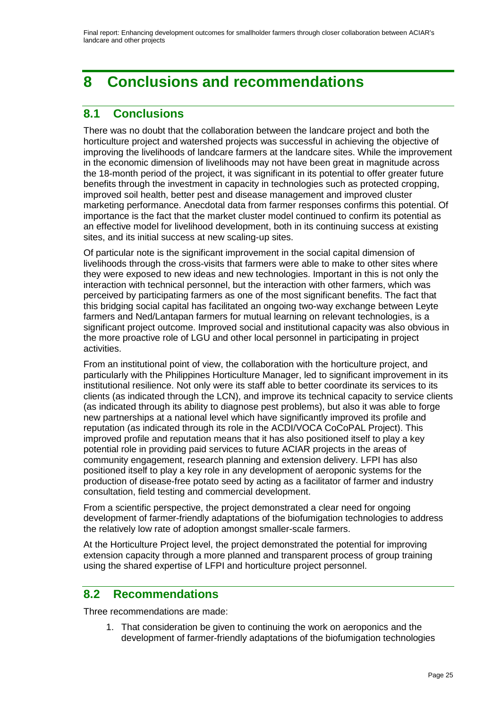# <span id="page-24-0"></span>**8 Conclusions and recommendations**

## <span id="page-24-1"></span>**8.1 Conclusions**

There was no doubt that the collaboration between the landcare project and both the horticulture project and watershed projects was successful in achieving the objective of improving the livelihoods of landcare farmers at the landcare sites. While the improvement in the economic dimension of livelihoods may not have been great in magnitude across the 18-month period of the project, it was significant in its potential to offer greater future benefits through the investment in capacity in technologies such as protected cropping, improved soil health, better pest and disease management and improved cluster marketing performance. Anecdotal data from farmer responses confirms this potential. Of importance is the fact that the market cluster model continued to confirm its potential as an effective model for livelihood development, both in its continuing success at existing sites, and its initial success at new scaling-up sites.

Of particular note is the significant improvement in the social capital dimension of livelihoods through the cross-visits that farmers were able to make to other sites where they were exposed to new ideas and new technologies. Important in this is not only the interaction with technical personnel, but the interaction with other farmers, which was perceived by participating farmers as one of the most significant benefits. The fact that this bridging social capital has facilitated an ongoing two-way exchange between Leyte farmers and Ned/Lantapan farmers for mutual learning on relevant technologies, is a significant project outcome. Improved social and institutional capacity was also obvious in the more proactive role of LGU and other local personnel in participating in project activities.

From an institutional point of view, the collaboration with the horticulture project, and particularly with the Philippines Horticulture Manager, led to significant improvement in its institutional resilience. Not only were its staff able to better coordinate its services to its clients (as indicated through the LCN), and improve its technical capacity to service clients (as indicated through its ability to diagnose pest problems), but also it was able to forge new partnerships at a national level which have significantly improved its profile and reputation (as indicated through its role in the ACDI/VOCA CoCoPAL Project). This improved profile and reputation means that it has also positioned itself to play a key potential role in providing paid services to future ACIAR projects in the areas of community engagement, research planning and extension delivery. LFPI has also positioned itself to play a key role in any development of aeroponic systems for the production of disease-free potato seed by acting as a facilitator of farmer and industry consultation, field testing and commercial development.

From a scientific perspective, the project demonstrated a clear need for ongoing development of farmer-friendly adaptations of the biofumigation technologies to address the relatively low rate of adoption amongst smaller-scale farmers.

At the Horticulture Project level, the project demonstrated the potential for improving extension capacity through a more planned and transparent process of group training using the shared expertise of LFPI and horticulture project personnel.

#### <span id="page-24-2"></span>**8.2 Recommendations**

Three recommendations are made:

1. That consideration be given to continuing the work on aeroponics and the development of farmer-friendly adaptations of the biofumigation technologies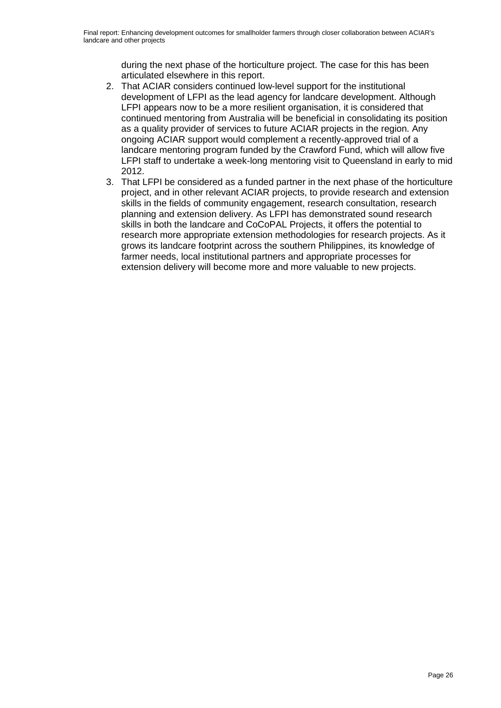during the next phase of the horticulture project. The case for this has been articulated elsewhere in this report.

- 2. That ACIAR considers continued low-level support for the institutional development of LFPI as the lead agency for landcare development. Although LFPI appears now to be a more resilient organisation, it is considered that continued mentoring from Australia will be beneficial in consolidating its position as a quality provider of services to future ACIAR projects in the region. Any ongoing ACIAR support would complement a recently-approved trial of a landcare mentoring program funded by the Crawford Fund, which will allow five LFPI staff to undertake a week-long mentoring visit to Queensland in early to mid 2012.
- 3. That LFPI be considered as a funded partner in the next phase of the horticulture project, and in other relevant ACIAR projects, to provide research and extension skills in the fields of community engagement, research consultation, research planning and extension delivery. As LFPI has demonstrated sound research skills in both the landcare and CoCoPAL Projects, it offers the potential to research more appropriate extension methodologies for research projects. As it grows its landcare footprint across the southern Philippines, its knowledge of farmer needs, local institutional partners and appropriate processes for extension delivery will become more and more valuable to new projects.